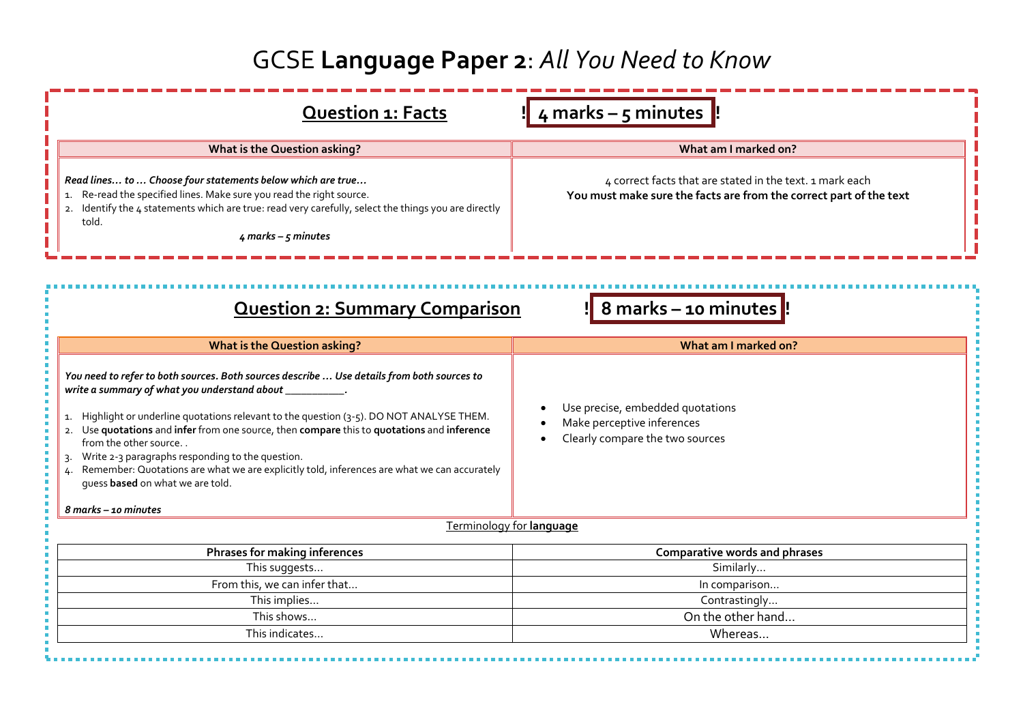## GCSE **Language Paper 2**: *All You Need to Know*

| ! 4 marks - 5 minutes !!<br><b>Question 1: Facts</b>                                                                                                                                                                                                                                                                                                                                                                                                                                                                                                    |                                                                                                                                |  |  |  |
|---------------------------------------------------------------------------------------------------------------------------------------------------------------------------------------------------------------------------------------------------------------------------------------------------------------------------------------------------------------------------------------------------------------------------------------------------------------------------------------------------------------------------------------------------------|--------------------------------------------------------------------------------------------------------------------------------|--|--|--|
| What is the Question asking?                                                                                                                                                                                                                                                                                                                                                                                                                                                                                                                            | What am I marked on?                                                                                                           |  |  |  |
| Read lines to  Choose four statements below which are true<br>1. Re-read the specified lines. Make sure you read the right source.<br>Identify the 4 statements which are true: read very carefully, select the things you are directly<br>2.<br>told.<br>$4$ marks - $5$ minutes                                                                                                                                                                                                                                                                       | 4 correct facts that are stated in the text. 1 mark each<br>You must make sure the facts are from the correct part of the text |  |  |  |
| ! 8 marks - 10 minutes !<br><b>Question 2: Summary Comparison</b>                                                                                                                                                                                                                                                                                                                                                                                                                                                                                       |                                                                                                                                |  |  |  |
| <b>What is the Question asking?</b>                                                                                                                                                                                                                                                                                                                                                                                                                                                                                                                     | What am I marked on?                                                                                                           |  |  |  |
| You need to refer to both sources. Both sources describe  Use details from both sources to<br>write a summary of what you understand about _<br>1. Highlight or underline quotations relevant to the question (3-5). DO NOT ANALYSE THEM.<br>2. Use quotations and infer from one source, then compare this to quotations and inference<br>from the other source<br>Write 2-3 paragraphs responding to the question.<br>Remember: Quotations are what we are explicitly told, inferences are what we can accurately<br>quess based on what we are told. | Use precise, embedded quotations<br>Make perceptive inferences<br>Clearly compare the two sources                              |  |  |  |
| 8 marks - 10 minutes                                                                                                                                                                                                                                                                                                                                                                                                                                                                                                                                    |                                                                                                                                |  |  |  |
| <b>Terminology for language</b>                                                                                                                                                                                                                                                                                                                                                                                                                                                                                                                         |                                                                                                                                |  |  |  |
| Phrases for making inferences                                                                                                                                                                                                                                                                                                                                                                                                                                                                                                                           | Comparative words and phrases                                                                                                  |  |  |  |
| This suggests                                                                                                                                                                                                                                                                                                                                                                                                                                                                                                                                           | Similarly                                                                                                                      |  |  |  |
| From this, we can infer that                                                                                                                                                                                                                                                                                                                                                                                                                                                                                                                            | In comparison                                                                                                                  |  |  |  |
| This implies                                                                                                                                                                                                                                                                                                                                                                                                                                                                                                                                            | Contrastingly                                                                                                                  |  |  |  |
| This shows                                                                                                                                                                                                                                                                                                                                                                                                                                                                                                                                              | On the other hand                                                                                                              |  |  |  |
|                                                                                                                                                                                                                                                                                                                                                                                                                                                                                                                                                         |                                                                                                                                |  |  |  |